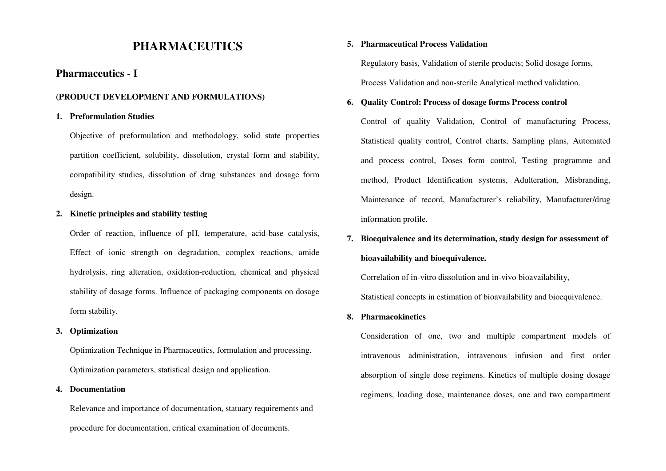## **PHARMACEUTICS**

## **Pharmaceutics - I**

#### **(PRODUCT DEVELOPMENT AND FORMULATIONS)**

#### **1. Preformulation Studies**

Objective of preformulation and methodology, solid state properties partition coefficient, solubility, dissolution, crystal form and stability, compatibility studies, dissolution of drug substances and dosage form design.

#### **2. Kinetic principles and stability testing**

Order of reaction, influence of pH, temperature, acid-base catalysis, Effect of ionic strength on degradation, complex reactions, amide hydrolysis, ring alteration, oxidation-reduction, chemical and physical stability of dosage forms. Influence of packaging components on dosage form stability.

#### **3. Optimization**

Optimization Technique in Pharmaceutics, formulation and processing. Optimization parameters, statistical design and application.

#### **4. Documentation**

Relevance and importance of documentation, statuary requirements and procedure for documentation, critical examination of documents.

#### **5. Pharmaceutical Process Validation**

Regulatory basis, Validation of sterile products; Solid dosage forms, Process Validation and non-sterile Analytical method validation.

#### **6.Quality Control: Process of dosage forms Process control**

Control of quality Validation, Control of manufacturing Process, Statistical quality control, Control charts, Sampling plans, Automated and process control, Doses form control, Testing programme and method, Product Identification systems, Adulteration, Misbranding, Maintenance of record, Manufacturer's reliability, Manufacturer/drug information profile.

# **7. Bioequivalence and its determination, study design for assessment of bioavailability and bioequivalence.**

 Correlation of in-vitro dissolution and in-vivo bioavailability, Statistical concepts in estimation of bioavailability and bioequivalence.

#### **8. Pharmacokinetics**

 Consideration of one, two and multiple compartment models of intravenous administration, intravenous infusion and first order absorption of single dose regimens. Kinetics of multiple dosing dosage regimens, loading dose, maintenance doses, one and two compartment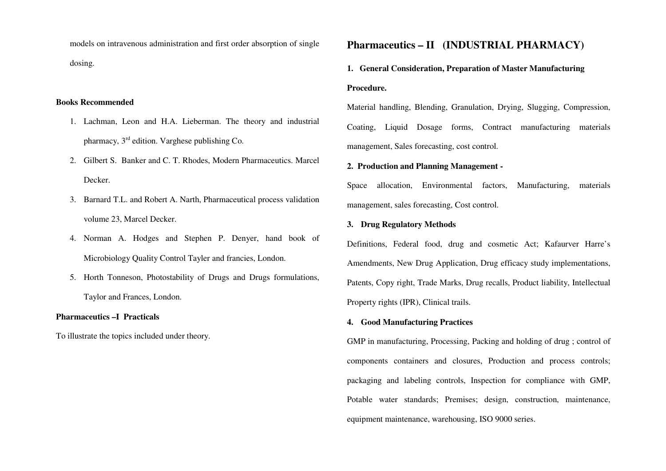models on intravenous administration and first order absorption of single dosing.

#### **Books Recommended**

- 1. Lachman, Leon and H.A. Lieberman. The theory and industrial pharmacy, 3rd edition. Varghese publishing Co.
- 2. Gilbert S. Banker and C. T. Rhodes, Modern Pharmaceutics. Marcel Decker.
- 3. Barnard T.L. and Robert A. Narth, Pharmaceutical process validation volume 23, Marcel Decker.
- 4. Norman A. Hodges and Stephen P. Denyer, hand book of Microbiology Quality Control Tayler and francies, London.
- 5. Horth Tonneson, Photostability of Drugs and Drugs formulations, Taylor and Frances, London.

### **Pharmaceutics –I Practicals**

To illustrate the topics included under theory.

## **Pharmaceutics – II (INDUSTRIAL PHARMACY)**

## **1. General Consideration, Preparation of Master Manufacturing Procedure.**

Material handling, Blending, Granulation, Drying, Slugging, Compression, Coating, Liquid Dosage forms, Contract manufacturing materials management, Sales forecasting, cost control.

#### **2. Production and Planning Management -**

Space allocation, Environmental factors, Manufacturing, materials management, sales forecasting, Cost control.

#### **3. Drug Regulatory Methods**

Definitions, Federal food, drug and cosmetic Act; Kafaurver Harre's Amendments, New Drug Application, Drug efficacy study implementations, Patents, Copy right, Trade Marks, Drug recalls, Product liability, Intellectual Property rights (IPR), Clinical trails.

#### **4. Good Manufacturing Practices**

GMP in manufacturing, Processing, Packing and holding of drug ; control of components containers and closures, Production and process controls; packaging and labeling controls, Inspection for compliance with GMP, Potable water standards; Premises; design, construction, maintenance, equipment maintenance, warehousing, ISO 9000 series.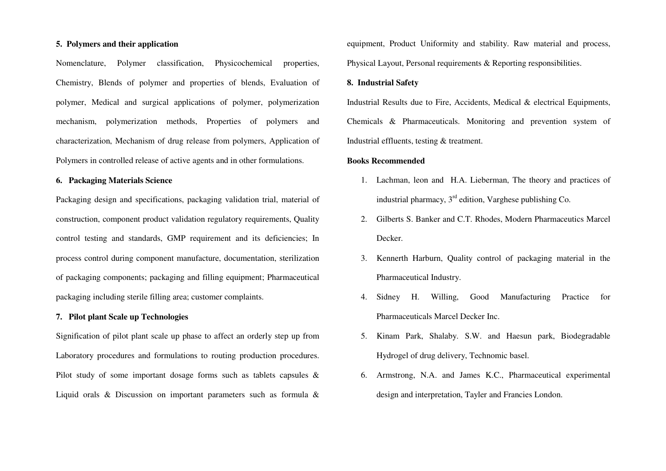#### **5. Polymers and their application**

Nomenclature, Polymer classification, Physicochemical properties, Chemistry, Blends of polymer and properties of blends, Evaluation of polymer, Medical and surgical applications of polymer, polymerization mechanism, polymerization methods, Properties of polymers and characterization, Mechanism of drug release from polymers, Application of Polymers in controlled release of active agents and in other formulations.

#### **6. Packaging Materials Science**

Packaging design and specifications, packaging validation trial, material of construction, component product validation regulatory requirements, Quality control testing and standards, GMP requirement and its deficiencies; In process control during component manufacture, documentation, sterilization of packaging components; packaging and filling equipment; Pharmaceutical packaging including sterile filling area; customer complaints.

#### **7. Pilot plant Scale up Technologies**

Signification of pilot plant scale up phase to affect an orderly step up from Laboratory procedures and formulations to routing production procedures. Pilot study of some important dosage forms such as tablets capsules & Liquid orals & Discussion on important parameters such as formula & equipment, Product Uniformity and stability. Raw material and process, Physical Layout, Personal requirements & Reporting responsibilities.

#### **8. Industrial Safety**

Industrial Results due to Fire, Accidents, Medical & electrical Equipments, Chemicals & Pharmaceuticals. Monitoring and prevention system of Industrial effluents, testing & treatment.

#### **Books Recommended**

- 1. Lachman, leon and H.A. Lieberman, The theory and practices of industrial pharmacy,  $3<sup>rd</sup>$  edition, Varghese publishing Co.
- 2. Gilberts S. Banker and C.T. Rhodes, Modern Pharmaceutics Marcel Decker.
- 3. Kennerth Harburn, Quality control of packaging material in the Pharmaceutical Industry.
- 4. Sidney H. Willing, Good Manufacturing Practice for Pharmaceuticals Marcel Decker Inc.
- 5. Kinam Park, Shalaby. S.W. and Haesun park, Biodegradable Hydrogel of drug delivery, Technomic basel.
- 6. Armstrong, N.A. and James K.C., Pharmaceutical experimental design and interpretation, Tayler and Francies London.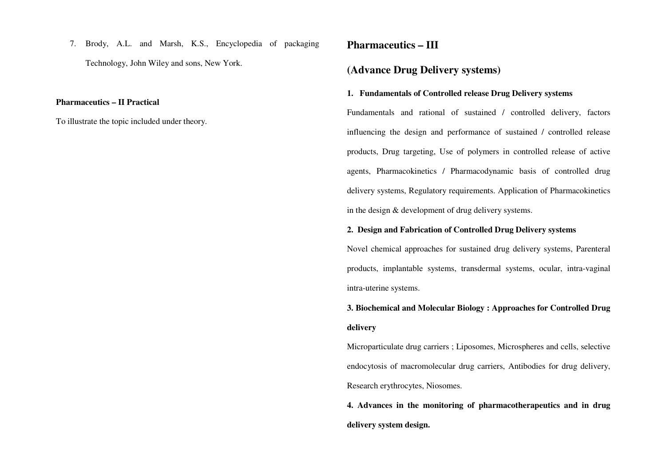7. Brody, A.L. and Marsh, K.S., Encyclopedia of packaging Technology, John Wiley and sons, New York.

#### **Pharmaceutics – II Practical**

To illustrate the topic included under theory.

## **Pharmaceutics – III**

## **(Advance Drug Delivery systems)**

#### **1. Fundamentals of Controlled release Drug Delivery systems**

Fundamentals and rational of sustained / controlled delivery, factors influencing the design and performance of sustained / controlled release products, Drug targeting, Use of polymers in controlled release of active agents, Pharmacokinetics / Pharmacodynamic basis of controlled drug delivery systems, Regulatory requirements. Application of Pharmacokinetics in the design & development of drug delivery systems.

#### **2. Design and Fabrication of Controlled Drug Delivery systems**

Novel chemical approaches for sustained drug delivery systems, Parenteral products, implantable systems, transdermal systems, ocular, intra-vaginal intra-uterine systems.

## **3. Biochemical and Molecular Biology : Approaches for Controlled Drug delivery**

Microparticulate drug carriers ; Liposomes, Microspheres and cells, selective endocytosis of macromolecular drug carriers, Antibodies for drug delivery, Research erythrocytes, Niosomes.

**4. Advances in the monitoring of pharmacotherapeutics and in drug delivery system design.**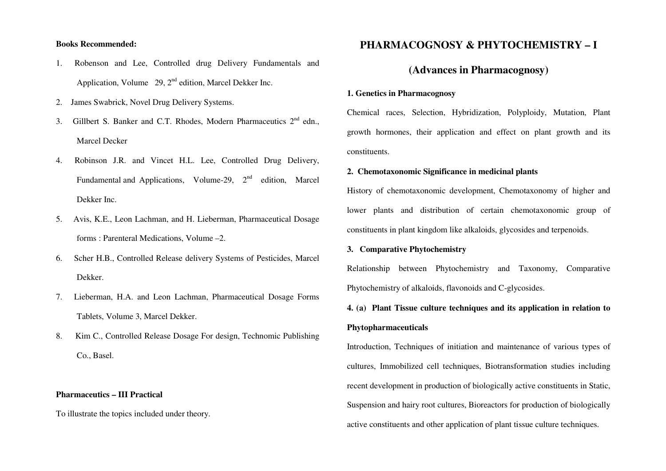#### **Books Recommended:**

- 1. Robenson and Lee, Controlled drug Delivery Fundamentals and Application, Volume  $29$ ,  $2<sup>nd</sup>$  edition, Marcel Dekker Inc.
- 2. James Swabrick, Novel Drug Delivery Systems.
- 3. Gillbert S. Banker and C.T. Rhodes, Modern Pharmaceutics  $2<sup>nd</sup>$  edn., Marcel Decker
- 4. Robinson J.R. and Vincet H.L. Lee, Controlled Drug Delivery, Fundamental and Applications, Volume-29,  $2<sup>nd</sup>$  edition, Marcel Dekker Inc.
- 5. Avis, K.E., Leon Lachman, and H. Lieberman, Pharmaceutical Dosage forms : Parenteral Medications, Volume –2.
- 6. Scher H.B., Controlled Release delivery Systems of Pesticides, Marcel Dekker.
- 7. Lieberman, H.A. and Leon Lachman, Pharmaceutical Dosage Forms Tablets, Volume 3, Marcel Dekker.
- 8. Kim C., Controlled Release Dosage For design, Technomic Publishing Co., Basel.

#### **Pharmaceutics – III Practical**

To illustrate the topics included under theory.

## **PHARMACOGNOSY & PHYTOCHEMISTRY – I**

## **(Advances in Pharmacognosy)**

#### **1. Genetics in Pharmacognosy**

Chemical races, Selection, Hybridization, Polyploidy, Mutation, Plant growth hormones, their application and effect on plant growth and its constituents.

#### **2. Chemotaxonomic Significance in medicinal plants**

History of chemotaxonomic development, Chemotaxonomy of higher and lower plants and distribution of certain chemotaxonomic group of constituents in plant kingdom like alkaloids, glycosides and terpenoids.

#### **3. Comparative Phytochemistry**

Relationship between Phytochemistry and Taxonomy, Comparative Phytochemistry of alkaloids, flavonoids and C-glycosides.

## **4. (a) Plant Tissue culture techniques and its application in relation to Phytopharmaceuticals**

Introduction, Techniques of initiation and maintenance of various types of cultures, Immobilized cell techniques, Biotransformation studies including recent development in production of biologically active constituents in Static, Suspension and hairy root cultures, Bioreactors for production of biologically active constituents and other application of plant tissue culture techniques.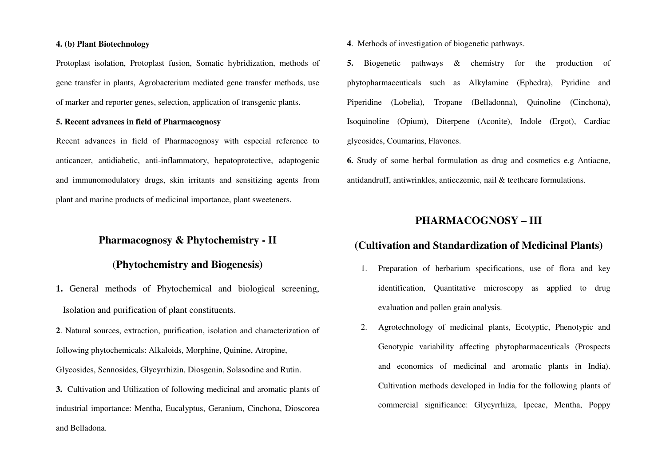#### **4. (b) Plant Biotechnology**

Protoplast isolation, Protoplast fusion, Somatic hybridization, methods of gene transfer in plants, Agrobacterium mediated gene transfer methods, use of marker and reporter genes, selection, application of transgenic plants.

#### **5. Recent advances in field of Pharmacognosy**

Recent advances in field of Pharmacognosy with especial reference to anticancer, antidiabetic, anti-inflammatory, hepatoprotective, adaptogenic and immunomodulatory drugs, skin irritants and sensitizing agents from plant and marine products of medicinal importance, plant sweeteners.

## **Pharmacognosy & Phytochemistry - II**

## (**Phytochemistry and Biogenesis)**

**1.** General methods of Phytochemical and biological screening, Isolation and purification of plant constituents.

**2**. Natural sources, extraction, purification, isolation and characterization of following phytochemicals: Alkaloids, Morphine, Quinine, Atropine, Glycosides, Sennosides, Glycyrrhizin, Diosgenin, Solasodine and Rutin. **3.** Cultivation and Utilization of following medicinal and aromatic plants of industrial importance: Mentha, Eucalyptus, Geranium, Cinchona, Dioscorea and Belladona.

**4**. Methods of investigation of biogenetic pathways.

**5.** Biogenetic pathways & chemistry for the production of phytopharmaceuticals such as Alkylamine (Ephedra), Pyridine and Piperidine (Lobelia), Tropane (Belladonna), Quinoline (Cinchona), Isoquinoline (Opium), Diterpene (Aconite), Indole (Ergot), Cardiac glycosides, Coumarins, Flavones.

**6.** Study of some herbal formulation as drug and cosmetics e.g Antiacne, antidandruff, antiwrinkles, antieczemic, nail & teethcare formulations.

## **PHARMACOGNOSY – III**

## **(Cultivation and Standardization of Medicinal Plants)**

- 1. Preparation of herbarium specifications, use of flora and key identification, Quantitative microscopy as applied to drug evaluation and pollen grain analysis.
- 2. Agrotechnology of medicinal plants, Ecotyptic, Phenotypic and Genotypic variability affecting phytopharmaceuticals (Prospects and economics of medicinal and aromatic plants in India). Cultivation methods developed in India for the following plants of commercial significance: Glycyrrhiza, Ipecac, Mentha, Poppy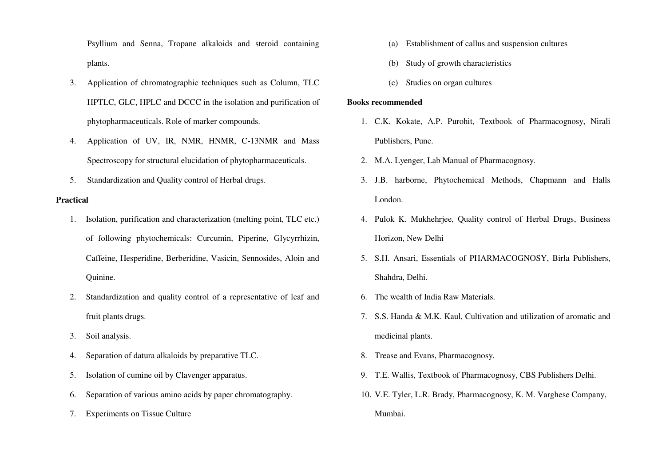Psyllium and Senna, Tropane alkaloids and steroid containing plants.

- 3. Application of chromatographic techniques such as Column, TLC HPTLC, GLC, HPLC and DCCC in the isolation and purification of phytopharmaceuticals. Role of marker compounds.
- 4. Application of UV, IR, NMR, HNMR, C-13NMR and Mass Spectroscopy for structural elucidation of phytopharmaceuticals.
- 5.Standardization and Quality control of Herbal drugs.

#### **Practical**

- 1. Isolation, purification and characterization (melting point, TLC etc.) of following phytochemicals: Curcumin, Piperine, Glycyrrhizin, Caffeine, Hesperidine, Berberidine, Vasicin, Sennosides, Aloin and Quinine.
- 2. Standardization and quality control of a representative of leaf and fruit plants drugs.
- 3.Soil analysis.
- 4.Separation of datura alkaloids by preparative TLC.
- 5.Isolation of cumine oil by Clavenger apparatus.
- 6.Separation of various amino acids by paper chromatography.
- 7.Experiments on Tissue Culture
- (a)Establishment of callus and suspension cultures
- (b) Study of growth characteristics
- (c) Studies on organ cultures

#### **Books recommended**

- 1. C.K. Kokate, A.P. Purohit, Textbook of Pharmacognosy, Nirali Publishers, Pune.
- 2. M.A. Lyenger, Lab Manual of Pharmacognosy.
- 3. J.B. harborne, Phytochemical Methods, Chapmann and Halls London.
- 4. Pulok K. Mukhehrjee, Quality control of Herbal Drugs, Business Horizon, New Delhi
- 5. S.H. Ansari, Essentials of PHARMACOGNOSY, Birla Publishers, Shahdra, Delhi.
- 6. The wealth of India Raw Materials.
- 7. S.S. Handa & M.K. Kaul, Cultivation and utilization of aromatic and medicinal plants.
- 8. Trease and Evans, Pharmacognosy.
- 9. T.E. Wallis, Textbook of Pharmacognosy, CBS Publishers Delhi.
- 10. V.E. Tyler, L.R. Brady, Pharmacognosy, K. M. Varghese Company, Mumbai.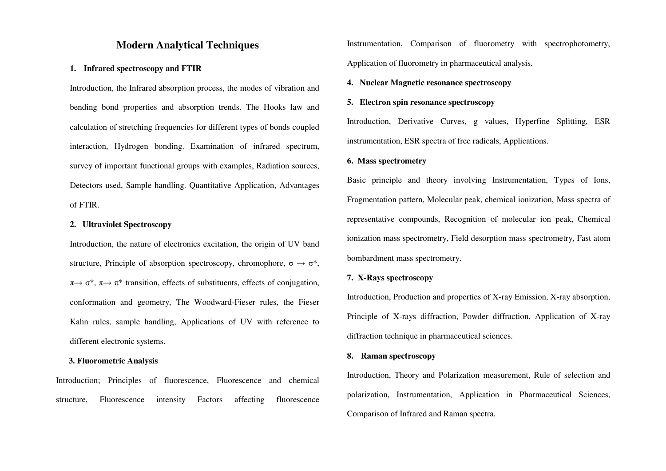#### **Modern Analytical Techniques**

#### **1. Infrared spectroscopy and FTIR**

Introduction, the Infrared absorption process, the modes of vibration and bending bond properties and absorption trends. The Hooks law and calculation of stretching frequencies for different types of bonds coupled interaction, Hydrogen bonding. Examination of infrared spectrum, survey of important functional groups with examples, Radiation sources, Detectors used, Sample handling. Quantitative Application, Advantages of FTIR.

#### **2. Ultraviolet Spectroscopy**

Introduction, the nature of electronics excitation, the origin of UV band structure, Principle of absorption spectroscopy, chromophore,  $\sigma \rightarrow \sigma^*$ ,  $\pi \rightarrow \sigma^*$ ,  $\pi \rightarrow \pi^*$  transition, effects of substituents, effects of conjugation, conformation and geometry, The Woodward-Fieser rules, the Fieser Kahn rules, sample handling, Applications of UV with reference to different electronic systems.

#### **3. Fluorometric Analysis**

Introduction; Principles of fluorescence, Fluorescence and chemical structure, Fluorescence intensity Factors affecting fluorescence Instrumentation, Comparison of fluorometry with spectrophotometry, Application of fluorometry in pharmaceutical analysis.

#### **4. Nuclear Magnetic resonance spectroscopy**

#### **5. Electron spin resonance spectroscopy**

Introduction, Derivative Curves, g values, Hyperfine Splitting, ESR instrumentation, ESR spectra of free radicals, Applications.

#### **6. Mass spectrometry**

Basic principle and theory involving Instrumentation, Types of Ions, Fragmentation pattern, Molecular peak, chemical ionization, Mass spectra of representative compounds, Recognition of molecular ion peak, Chemical ionization mass spectrometry, Field desorption mass spectrometry, Fast atom bombardment mass spectrometry.

#### **7. X-Rays spectroscopy**

Introduction, Production and properties of X-ray Emission, X-ray absorption, Principle of X-rays diffraction, Powder diffraction, Application of X-ray diffraction technique in pharmaceutical sciences.

#### **8. Raman spectroscopy**

Introduction, Theory and Polarization measurement, Rule of selection and polarization, Instrumentation, Application in Pharmaceutical Sciences, Comparison of Infrared and Raman spectra.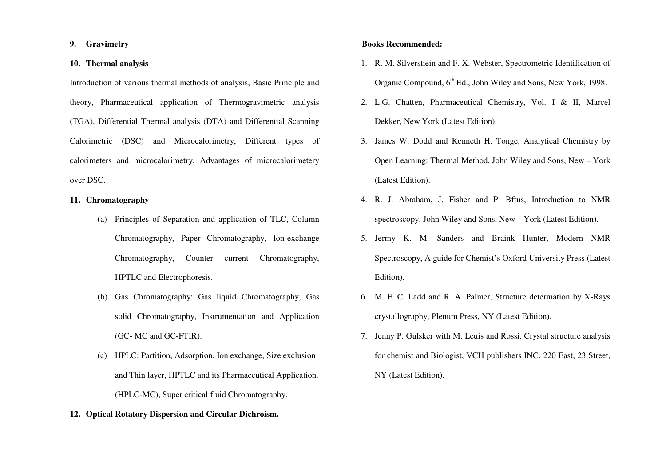#### **9. Gravimetry**

#### **10. Thermal analysis**

Introduction of various thermal methods of analysis, Basic Principle and theory, Pharmaceutical application of Thermogravimetric analysis (TGA), Differential Thermal analysis (DTA) and Differential Scanning Calorimetric (DSC) and Microcalorimetry, Different types of calorimeters and microcalorimetry, Advantages of microcalorimetery over DSC.

#### **11. Chromatography**

- (a) Principles of Separation and application of TLC, Column Chromatography, Paper Chromatography, Ion-exchange Chromatography, Counter current Chromatography, HPTLC and Electrophoresis.
- (b) Gas Chromatography: Gas liquid Chromatography, Gas solid Chromatography, Instrumentation and Application (GC- MC and GC-FTIR).
- $(c)$  HPLC: Partition, Adsorption, Ion exchange, Size exclusion and Thin layer, HPTLC and its Pharmaceutical Application. (HPLC-MC), Super critical fluid Chromatography.

#### **12. Optical Rotatory Dispersion and Circular Dichroism.**

#### **Books Recommended:**

- 1. R. M. Silverstiein and F. X. Webster, Spectrometric Identification of Organic Compound, 6th Ed., John Wiley and Sons, New York, 1998.
- 2. L.G. Chatten, Pharmaceutical Chemistry, Vol. I & II, Marcel Dekker, New York (Latest Edition).
- 3. James W. Dodd and Kenneth H. Tonge, Analytical Chemistry by Open Learning: Thermal Method, John Wiley and Sons, New – York (Latest Edition).
- 4. R. J. Abraham, J. Fisher and P. Bftus, Introduction to NMR spectroscopy, John Wiley and Sons, New – York (Latest Edition).
- 5. Jermy K. M. Sanders and Braink Hunter, Modern NMR Spectroscopy, A guide for Chemist's Oxford University Press (Latest Edition).
- 6. M. F. C. Ladd and R. A. Palmer, Structure determation by X-Rays crystallography, Plenum Press, NY (Latest Edition).
- 7. Jenny P. Gulsker with M. Leuis and Rossi, Crystal structure analysis for chemist and Biologist, VCH publishers INC. 220 East, 23 Street, NY (Latest Edition).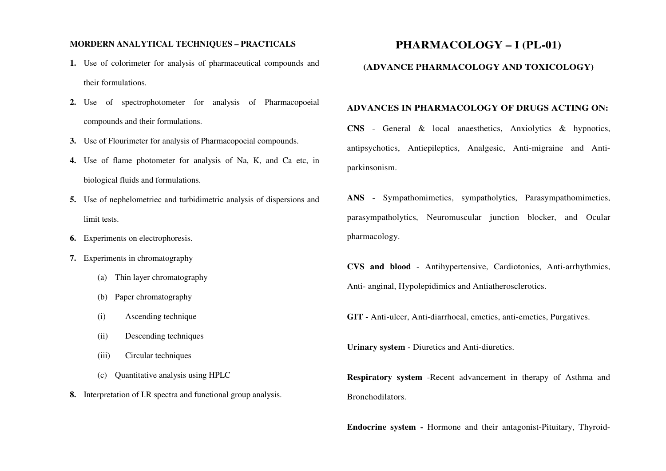#### **MORDERN ANALYTICAL TECHNIQUES – PRACTICALS**

- **1.** Use of colorimeter for analysis of pharmaceutical compounds and their formulations.
- **2.** Use of spectrophotometer for analysis of Pharmacopoeial compounds and their formulations.
- **3.** Use of Flourimeter for analysis of Pharmacopoeial compounds.
- **4.** Use of flame photometer for analysis of Na, K, and Ca etc, in biological fluids and formulations.
- **5.** Use of nephelometriec and turbidimetric analysis of dispersions and limit tests.
- **6.** Experiments on electrophoresis.
- **7.** Experiments in chromatography
	- (a) Thin layer chromatography
	- (b) Paper chromatography
	- (i)Ascending technique
	- (ii)Descending techniques
	- (iii)Circular techniques
	- (c) Quantitative analysis using HPLC
- **8.** Interpretation of I.R spectra and functional group analysis.

## **PHARMACOLOGY – I (PL-01)**

#### **(ADVANCE PHARMACOLOGY AND TOXICOLOGY)**

#### **ADVANCES IN PHARMACOLOGY OF DRUGS ACTING ON:**

**CNS** - General & local anaesthetics, Anxiolytics & hypnotics, antipsychotics, Antiepileptics, Analgesic, Anti-migraine and Antiparkinsonism.

**ANS** - Sympathomimetics, sympatholytics, Parasympathomimetics, parasympatholytics, Neuromuscular junction blocker, and Ocular pharmacology.

**CVS and blood** - Antihypertensive, Cardiotonics, Anti-arrhythmics, Anti- anginal, Hypolepidimics and Antiatherosclerotics.

**GIT -** Anti-ulcer, Anti-diarrhoeal, emetics, anti-emetics, Purgatives.

**Urinary system** - Diuretics and Anti-diuretics.

**Respiratory system** -Recent advancement in therapy of Asthma and Bronchodilators.

**Endocrine system -** Hormone and their antagonist-Pituitary, Thyroid-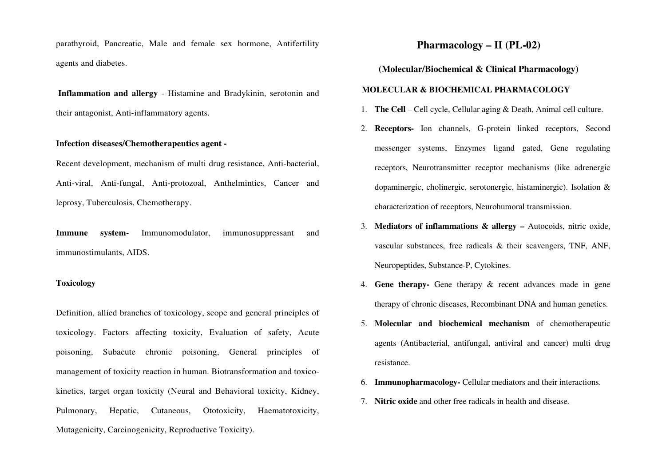parathyroid, Pancreatic, Male and female sex hormone, Antifertility agents and diabetes.

 **Inflammation and allergy** - Histamine and Bradykinin, serotonin and their antagonist, Anti-inflammatory agents.

#### **Infection diseases/Chemotherapeutics agent -**

Recent development, mechanism of multi drug resistance, Anti-bacterial, Anti-viral, Anti-fungal, Anti-protozoal, Anthelmintics, Cancer and leprosy, Tuberculosis, Chemotherapy.

**Immune system-** Immunomodulator, immunosuppressant and immunostimulants, AIDS.

#### **Toxicology**

Definition, allied branches of toxicology, scope and general principles of toxicology. Factors affecting toxicity, Evaluation of safety, Acute poisoning, Subacute chronic poisoning, General principles of management of toxicity reaction in human. Biotransformation and toxicokinetics, target organ toxicity (Neural and Behavioral toxicity, Kidney, Pulmonary, Hepatic, Cutaneous, Ototoxicity, Haematotoxicity, Mutagenicity, Carcinogenicity, Reproductive Toxicity).

## **Pharmacology – II (PL-02)**

#### **(Molecular/Biochemical & Clinical Pharmacology)**

#### **MOLECULAR & BIOCHEMICAL PHARMACOLOGY**

- 1. **The Cell** Cell cycle, Cellular aging & Death, Animal cell culture.
- 2. **Receptors-** Ion channels, G-protein linked receptors, Second messenger systems, Enzymes ligand gated, Gene regulating receptors, Neurotransmitter receptor mechanisms (like adrenergic dopaminergic, cholinergic, serotonergic, histaminergic). Isolation & characterization of receptors, Neurohumoral transmission.
- 3. **Mediators of inflammations & allergy –** Autocoids, nitric oxide, vascular substances, free radicals & their scavengers, TNF, ANF, Neuropeptides, Substance-P, Cytokines.
- 4. **Gene therapy-** Gene therapy & recent advances made in gene therapy of chronic diseases, Recombinant DNA and human genetics.
- 5. **Molecular and biochemical mechanism** of chemotherapeutic agents (Antibacterial, antifungal, antiviral and cancer) multi drug resistance.
- 6. **Immunopharmacology-** Cellular mediators and their interactions.
- 7. **Nitric oxide** and other free radicals in health and disease.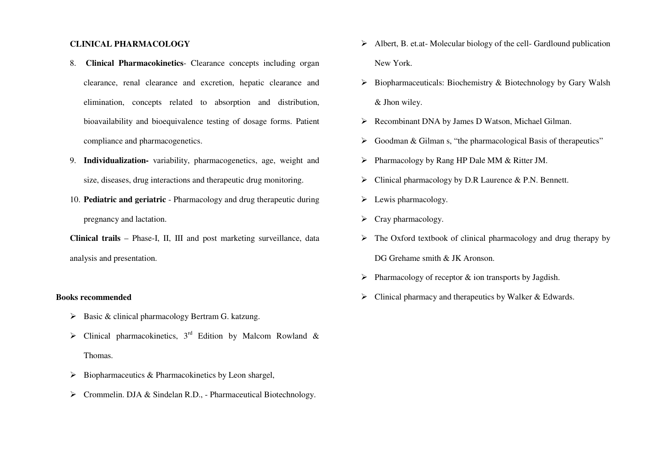#### **CLINICAL PHARMACOLOGY**

- 8. **Clinical Pharmacokinetics** Clearance concepts including organ clearance, renal clearance and excretion, hepatic clearance and elimination, concepts related to absorption and distribution, bioavailability and bioequivalence testing of dosage forms. Patient compliance and pharmacogenetics.
- 9. **Individualization-** variability, pharmacogenetics, age, weight and size, diseases, drug interactions and therapeutic drug monitoring.
- 10. **Pediatric and geriatric** Pharmacology and drug therapeutic during pregnancy and lactation.
- **Clinical trails** Phase-I, II, III and post marketing surveillance, data analysis and presentation.

#### **Books recommended**

- $\triangleright$  Basic & clinical pharmacology Bertram G. katzung.
- $\triangleright$  Clinical pharmacokinetics, 3<sup>rd</sup> Edition by Malcom Rowland & Thomas.
- $\triangleright$  Biopharmaceutics & Pharmacokinetics by Leon shargel,
- Crommelin. DJA & Sindelan R.D., Pharmaceutical Biotechnology.
- $\triangleright$  Albert, B. et.at-Molecular biology of the cell-Gardlound publication New York.
- $\triangleright$  Biopharmaceuticals: Biochemistry & Biotechnology by Gary Walsh & Jhon wiley.
- ▶ <b>Recombinant DNA by James D Watson, Michael Gilman.</b>
- Goodman & Gilman s, "the pharmacological Basis of therapeutics"
- Pharmacology by Rang HP Dale MM & Ritter JM.
- Clinical pharmacology by D.R Laurence & P.N. Bennett.
- $\blacktriangleright$  Lewis pharmacology.
- $\triangleright$  Cray pharmacology.
- $\triangleright$  The Oxford textbook of clinical pharmacology and drug therapy by DG Grehame smith & JK Aronson.
- $\triangleright$  Pharmacology of receptor & ion transports by Jagdish.
- Clinical pharmacy and therapeutics by Walker & Edwards.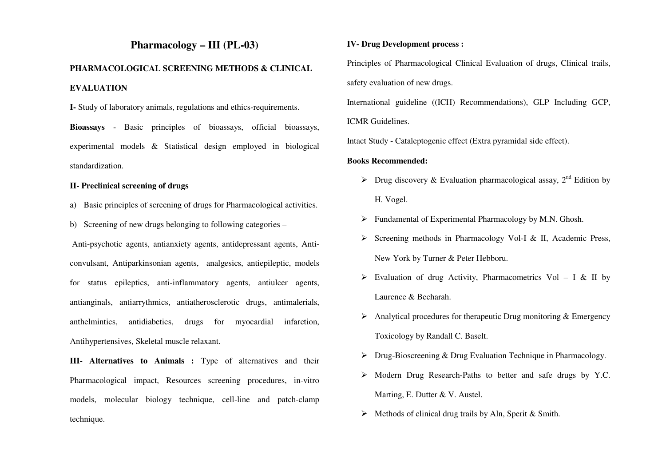## **Pharmacology – III (PL-03)**

## **PHARMACOLOGICAL SCREENING METHODS & CLINICAL EVALUATION**

**I-** Study of laboratory animals, regulations and ethics-requirements.

**Bioassays** - Basic principles of bioassays, official bioassays, experimental models & Statistical design employed in biological standardization.

#### **II- Preclinical screening of drugs**

- a) Basic principles of screening of drugs for Pharmacological activities.
- b) Screening of new drugs belonging to following categories –

 Anti-psychotic agents, antianxiety agents, antidepressant agents, Anticonvulsant, Antiparkinsonian agents, analgesics, antiepileptic, models for status epileptics, anti-inflammatory agents, antiulcer agents, antianginals, antiarrythmics, antiatherosclerotic drugs, antimalerials, anthelmintics, antidiabetics, drugs for myocardial infarction, Antihypertensives, Skeletal muscle relaxant.

**III- Alternatives to Animals :** Type of alternatives and their Pharmacological impact, Resources screening procedures, in-vitro models, molecular biology technique, cell-line and patch-clamp technique.

#### **IV- Drug Development process :**

Principles of Pharmacological Clinical Evaluation of drugs, Clinical trails, safety evaluation of new drugs.

International guideline ((ICH) Recommendations), GLP Including GCP,

#### ICMR Guidelines.

Intact Study - Cataleptogenic effect (Extra pyramidal side effect).

#### **Books Recommended:**

- > Drug discovery & Evaluation pharmacological assay,  $2^{nd}$  Edition by H. Vogel.
- Fundamental of Experimental Pharmacology by M.N. Ghosh.
- $\triangleright$  Screening methods in Pharmacology Vol-I & II, Academic Press, New York by Turner & Peter Hebboru.
- $\triangleright$  Evaluation of drug Activity, Pharmacometrics Vol I & II by Laurence & Becharah.
- Analytical procedures for the rapeutic Drug monitoring  $&$  Emergency Toxicology by Randall C. Baselt.
- Drug-Bioscreening & Drug Evaluation Technique in Pharmacology.
- Modern Drug Research-Paths to better and safe drugs by Y.C. Marting, E. Dutter & V. Austel.
- $\triangleright$  Methods of clinical drug trails by Aln, Sperit & Smith.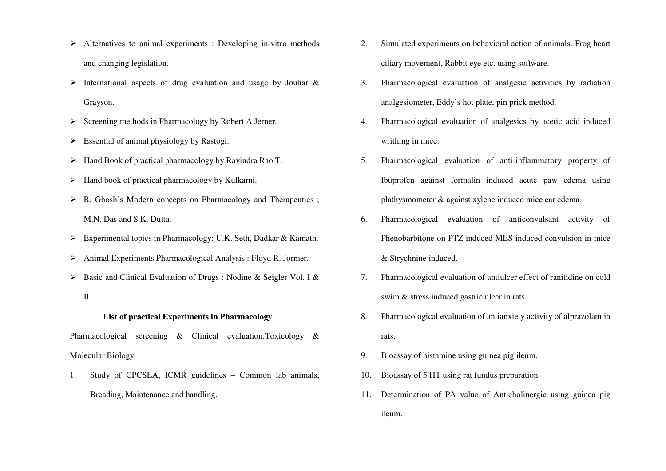- $\triangleright$  Alternatives to animal experiments : Developing in-vitro methods and changing legislation.
- International aspects of drug evaluation and usage by Jouhar  $\&$ Grayson.
- $\triangleright$  Screening methods in Pharmacology by Robert A Jerner.
- $\triangleright$  Essential of animal physiology by Rastogi.
- Hand Book of practical pharmacology by Ravindra Rao T.
- $\triangleright$  Hand book of practical pharmacology by Kulkarni.
- ▶ R. Ghosh's Modern concepts on Pharmacology and Therapeutics ; M.N. Das and S.K. Dutta.
- Experimental topics in Pharmacology: U.K. Seth, Dadkar & Kamath.
- Animal Experiments Pharmacological Analysis : Floyd R. Jormer.
- Basic and Clinical Evaluation of Drugs : Nodine & Seigler Vol. I & II.

#### **List of practical Experiments in Pharmacology**

Pharmacological screening & Clinical evaluation:Toxicology & Molecular Biology

1. Study of CPCSEA, ICMR guidelines – Common lab animals, Breading, Maintenance and handling.

- 2. Simulated experiments on behavioral action of animals. Frog heart ciliary movement, Rabbit eye etc. using software.
- 3. Pharmacological evaluation of analgesic activities by radiation analgesiometer, Eddy's hot plate, pin prick method.
- 4. Pharmacological evaluation of analgesics by acetic acid induced writhing in mice.
- 5. Pharmacological evaluation of anti-inflammatory property of Ibuprofen against formalin induced acute paw edema using plathysmometer & against xylene induced mice ear edema.
- 6. Pharmacological evaluation of anticonvulsant activity of Phenobarbitone on PTZ induced MES induced convulsion in mice & Strychnine induced.
- 7. Pharmacological evaluation of antiulcer effect of ranitidine on cold swim & stress induced gastric ulcer in rats.
- 8. Pharmacological evaluation of antianxiety activity of alprazolam in rats.
- 9.Bioassay of histamine using guinea pig ileum.
- 10.Bioassay of 5 HT using rat fundus preparation.
- 11. Determination of PA value of Anticholinergic using guinea pig ileum.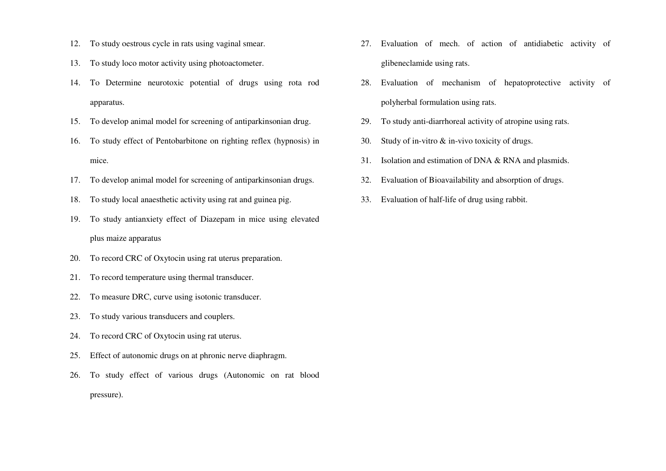- 12. To study oestrous cycle in rats using vaginal smear.
- 13. To study loco motor activity using photoactometer.
- 14. To Determine neurotoxic potential of drugs using rota rod apparatus.
- 15. To develop animal model for screening of antiparkinsonian drug.
- 16. To study effect of Pentobarbitone on righting reflex (hypnosis) in mice.
- 17. To develop animal model for screening of antiparkinsonian drugs.
- 18.To study local anaesthetic activity using rat and guinea pig.
- 19. To study antianxiety effect of Diazepam in mice using elevated plus maize apparatus
- 20.To record CRC of Oxytocin using rat uterus preparation.
- 21.To record temperature using thermal transducer.
- 22.To measure DRC, curve using isotonic transducer.
- 23.To study various transducers and couplers.
- 24.To record CRC of Oxytocin using rat uterus.
- 25.Effect of autonomic drugs on at phronic nerve diaphragm.
- 26. To study effect of various drugs (Autonomic on rat blood pressure).
- 27. Evaluation of mech. of action of antidiabetic activity of glibeneclamide using rats.
- 28. Evaluation of mechanism of hepatoprotective activity of polyherbal formulation using rats.
- 29.To study anti-diarrhoreal activity of atropine using rats.
- 30.Study of in-vitro & in-vivo toxicity of drugs.
- 31.Isolation and estimation of DNA & RNA and plasmids.
- 32.Evaluation of Bioavailability and absorption of drugs.
- 33.Evaluation of half-life of drug using rabbit.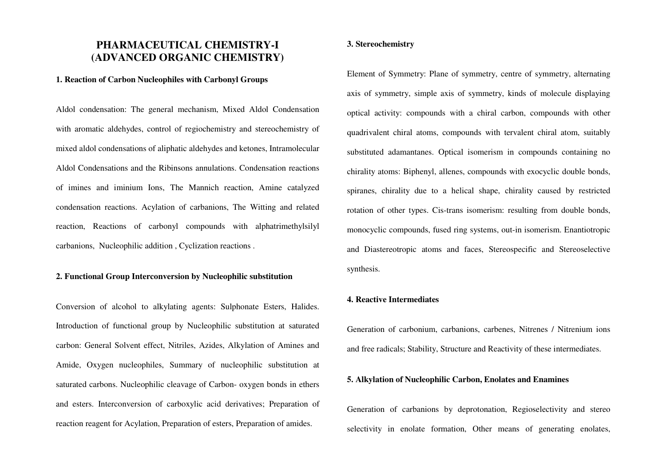## **PHARMACEUTICAL CHEMISTRY-I (ADVANCED ORGANIC CHEMISTRY)**

#### **1. Reaction of Carbon Nucleophiles with Carbonyl Groups**

Aldol condensation: The general mechanism, Mixed Aldol Condensation with aromatic aldehydes, control of regiochemistry and stereochemistry of mixed aldol condensations of aliphatic aldehydes and ketones, Intramolecular Aldol Condensations and the Ribinsons annulations. Condensation reactions of imines and iminium Ions, The Mannich reaction, Amine catalyzed condensation reactions. Acylation of carbanions, The Witting and related reaction, Reactions of carbonyl compounds with alphatrimethylsilyl carbanions, Nucleophilic addition , Cyclization reactions .

#### **2. Functional Group Interconversion by Nucleophilic substitution**

Conversion of alcohol to alkylating agents: Sulphonate Esters, Halides. Introduction of functional group by Nucleophilic substitution at saturated carbon: General Solvent effect, Nitriles, Azides, Alkylation of Amines and Amide, Oxygen nucleophiles, Summary of nucleophilic substitution at saturated carbons. Nucleophilic cleavage of Carbon- oxygen bonds in ethers and esters. Interconversion of carboxylic acid derivatives; Preparation of reaction reagent for Acylation, Preparation of esters, Preparation of amides.

#### **3. Stereochemistry**

Element of Symmetry: Plane of symmetry, centre of symmetry, alternating axis of symmetry, simple axis of symmetry, kinds of molecule displaying optical activity: compounds with a chiral carbon, compounds with other quadrivalent chiral atoms, compounds with tervalent chiral atom, suitably substituted adamantanes. Optical isomerism in compounds containing no chirality atoms: Biphenyl, allenes, compounds with exocyclic double bonds, spiranes, chirality due to a helical shape, chirality caused by restricted rotation of other types. Cis-trans isomerism: resulting from double bonds, monocyclic compounds, fused ring systems, out-in isomerism. Enantiotropic and Diastereotropic atoms and faces, Stereospecific and Stereoselective synthesis.

#### **4. Reactive Intermediates**

Generation of carbonium, carbanions, carbenes, Nitrenes / Nitrenium ions and free radicals; Stability, Structure and Reactivity of these intermediates.

#### **5. Alkylation of Nucleophilic Carbon, Enolates and Enamines**

Generation of carbanions by deprotonation, Regioselectivity and stereo selectivity in enolate formation, Other means of generating enolates,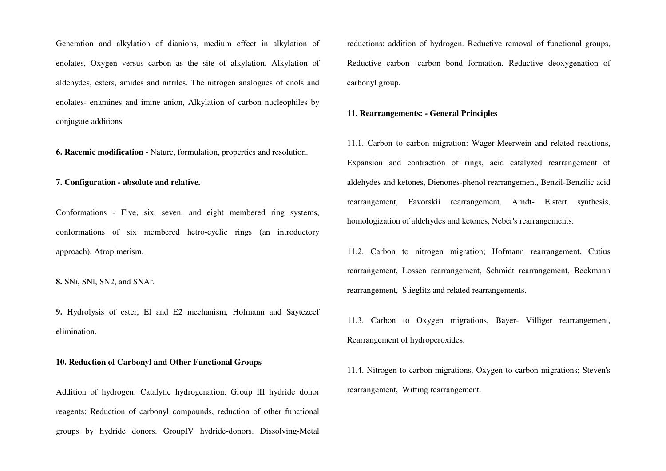Generation and alkylation of dianions, medium effect in alkylation of enolates, Oxygen versus carbon as the site of alkylation, Alkylation of aldehydes, esters, amides and nitriles. The nitrogen analogues of enols and enolates- enamines and imine anion, Alkylation of carbon nucleophiles by conjugate additions.

**6. Racemic modification** - Nature, formulation, properties and resolution.

**7. Configuration - absolute and relative.** 

Conformations - Five, six, seven, and eight membered ring systems, conformations of six membered hetro-cyclic rings (an introductory approach). Atropimerism.

**8.** SNi, SNl, SN2, and SNAr.

**9.** Hydrolysis of ester, El and E2 mechanism, Hofmann and Saytezeef elimination.

#### **10. Reduction of Carbonyl and Other Functional Groups**

Addition of hydrogen: Catalytic hydrogenation, Group III hydride donor reagents: Reduction of carbonyl compounds, reduction of other functional groups by hydride donors. GroupIV hydride-donors. Dissolving-Metal

reductions: addition of hydrogen. Reductive removal of functional groups, Reductive carbon -carbon bond formation. Reductive deoxygenation of carbonyl group.

#### **11. Rearrangements: - General Principles**

11.1. Carbon to carbon migration: Wager-Meerwein and related reactions, Expansion and contraction of rings, acid catalyzed rearrangement of aldehydes and ketones, Dienones-phenol rearrangement, Benzil-Benzilic acid rearrangement, Favorskii rearrangement, Arndt- Eistert synthesis, homologization of aldehydes and ketones, Neber's rearrangements.

11.2. Carbon to nitrogen migration; Hofmann rearrangement, Cutius rearrangement, Lossen rearrangement, Schmidt rearrangement, Beckmann rearrangement, Stieglitz and related rearrangements.

11.3. Carbon to Oxygen migrations, Bayer- Villiger rearrangement, Rearrangement of hydroperoxides.

11.4. Nitrogen to carbon migrations, Oxygen to carbon migrations; Steven's rearrangement, Witting rearrangement.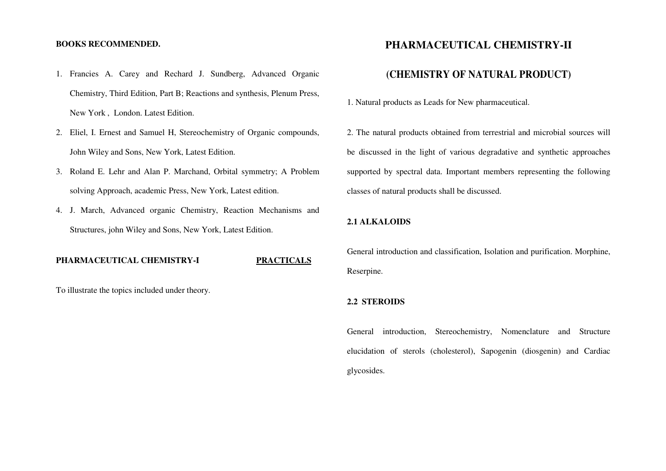#### **BOOKS RECOMMENDED.**

- 1. Francies A. Carey and Rechard J. Sundberg, Advanced Organic Chemistry, Third Edition, Part B; Reactions and synthesis, Plenum Press, New York , London. Latest Edition.
- 2. Eliel, I. Ernest and Samuel H, Stereochemistry of Organic compounds, John Wiley and Sons, New York, Latest Edition.
- 3. Roland E. Lehr and Alan P. Marchand, Orbital symmetry; A Problem solving Approach, academic Press, New York, Latest edition.
- 4. J. March, Advanced organic Chemistry, Reaction Mechanisms and Structures, john Wiley and Sons, New York, Latest Edition.

#### **PHARMACEUTICAL CHEMISTRY-I PRACTICALS**

To illustrate the topics included under theory.

## **PHARMACEUTICAL CHEMISTRY-II**

## **(CHEMISTRY OF NATURAL PRODUCT)**

1. Natural products as Leads for New pharmaceutical.

2. The natural products obtained from terrestrial and microbial sources will be discussed in the light of various degradative and synthetic approaches supported by spectral data. Important members representing the following classes of natural products shall be discussed.

#### **2.1 ALKALOIDS**

General introduction and classification, Isolation and purification. Morphine, Reserpine.

#### **2.2 STEROIDS**

General introduction, Stereochemistry, Nomenclature and Structure elucidation of sterols (cholesterol), Sapogenin (diosgenin) and Cardiac glycosides.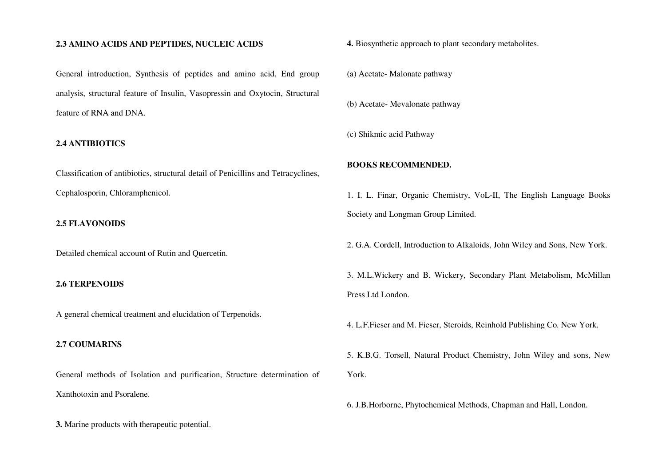#### **2.3 AMINO ACIDS AND PEPTIDES, NUCLEIC ACIDS**

General introduction, Synthesis of peptides and amino acid, End group analysis, structural feature of Insulin, Vasopressin and Oxytocin, Structural feature of RNA and DNA.

#### **2.4 ANTIBIOTICS**

Classification of antibiotics, structural detail of Penicillins and Tetracyclines, Cephalosporin, Chloramphenicol.

#### **2.5 FLAVONOIDS**

Detailed chemical account of Rutin and Quercetin.

#### **2.6 TERPENOIDS**

A general chemical treatment and elucidation of Terpenoids.

#### **2.7 COUMARINS**

General methods of Isolation and purification, Structure determination of Xanthotoxin and Psoralene.

**3.** Marine products with therapeutic potential.

**4.** Biosynthetic approach to plant secondary metabolites.

(a) Acetate- Malonate pathway

(b) Acetate- Mevalonate pathway

(c) Shikmic acid Pathway

#### **BOOKS RECOMMENDED.**

1. I. L. Finar, Organic Chemistry, VoL-II, The English Language Books Society and Longman Group Limited.

2. G.A. Cordell, Introduction to Alkaloids, John Wiley and Sons, New York.

3. M.L.Wickery and B. Wickery, Secondary Plant Metabolism, McMillan Press Ltd London.

4. L.F.Fieser and M. Fieser, Steroids, Reinhold Publishing Co. New York.

5. K.B.G. Torsell, Natural Product Chemistry, John Wiley and sons, New York.

6. J.B.Horborne, Phytochemical Methods, Chapman and Hall, London.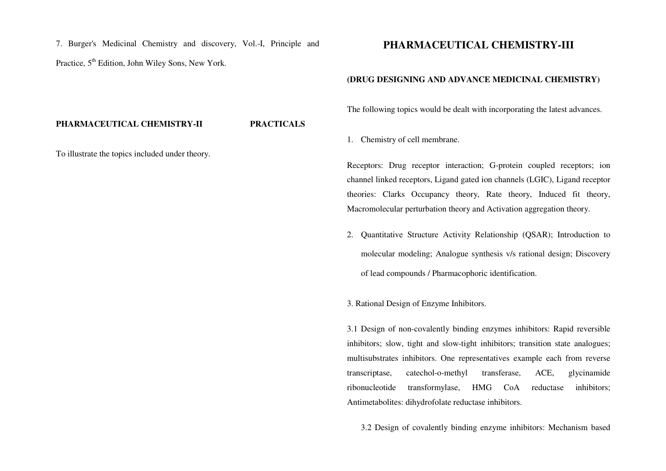7. Burger's Medicinal Chemistry and discovery, Vol.-I, Principle and Practice,  $5<sup>th</sup>$  Edition, John Wiley Sons, New York.

## **PHARMACEUTICAL CHEMISTRY-III**

#### **(DRUG DESIGNING AND ADVANCE MEDICINAL CHEMISTRY)**

The following topics would be dealt with incorporating the latest advances.

1. Chemistry of cell membrane.

Receptors: Drug receptor interaction; G-protein coupled receptors; ion channel linked receptors, Ligand gated ion channels (LGIC), Ligand receptor theories: Clarks Occupancy theory, Rate theory, Induced fit theory, Macromolecular perturbation theory and Activation aggregation theory.

2. Quantitative Structure Activity Relationship (QSAR); Introduction to molecular modeling; Analogue synthesis v/s rational design; Discovery of lead compounds / Pharmacophoric identification.

3. Rational Design of Enzyme Inhibitors.

3.1 Design of non-covalently binding enzymes inhibitors: Rapid reversible inhibitors; slow, tight and slow-tight inhibitors; transition state analogues; multisubstrates inhibitors. One representatives example each from reverse transcriptase, catechol-o-methyl transferase, ACE, glycinamide ribonucleotide transformylase, HMG CoA reductase inhibitors; Antimetabolites: dihydrofolate reductase inhibitors.

3.2 Design of covalently binding enzyme inhibitors: Mechanism based

#### **PHARMACEUTICAL CHEMISTRY-II PRACTICALS**

To illustrate the topics included under theory.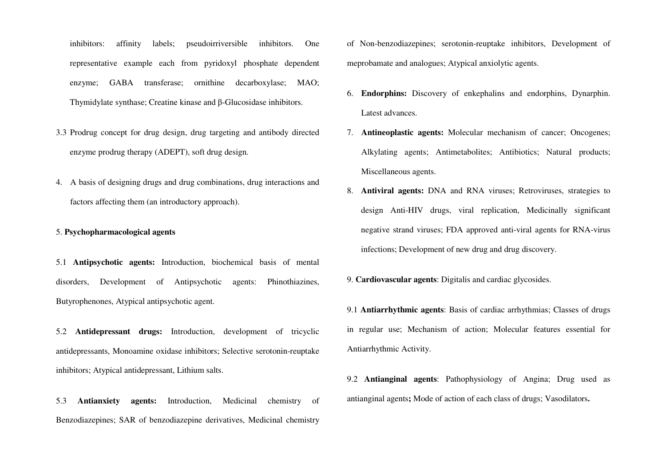inhibitors: affinity labels; pseudoirriversible inhibitors. One representative example each from pyridoxyl phosphate dependent enzyme; GABA transferase; ornithine decarboxylase; MAO; Thymidylate synthase; Creatine kinase and β-Glucosidase inhibitors.

- 3.3 Prodrug concept for drug design, drug targeting and antibody directed enzyme prodrug therapy (ADEPT), soft drug design.
- 4. A basis of designing drugs and drug combinations, drug interactions and factors affecting them (an introductory approach).

#### 5. **Psychopharmacological agents**

5.1 **Antipsychotic agents:** Introduction, biochemical basis of mental disorders, Development of Antipsychotic agents: Phinothiazines, Butyrophenones, Atypical antipsychotic agent.

5.2 **Antidepressant drugs:** Introduction, development of tricyclic antidepressants, Monoamine oxidase inhibitors; Selective serotonin-reuptake inhibitors; Atypical antidepressant, Lithium salts.

5.3 **Antianxiety agents:** Introduction, Medicinal chemistry of Benzodiazepines; SAR of benzodiazepine derivatives, Medicinal chemistry of Non-benzodiazepines; serotonin-reuptake inhibitors, Development of meprobamate and analogues; Atypical anxiolytic agents.

- 6. **Endorphins:** Discovery of enkephalins and endorphins, Dynarphin. Latest advances.
- 7. **Antineoplastic agents:** Molecular mechanism of cancer; Oncogenes; Alkylating agents; Antimetabolites; Antibiotics; Natural products; Miscellaneous agents.
- 8. **Antiviral agents:** DNA and RNA viruses; Retroviruses, strategies to design Anti-HIV drugs, viral replication, Medicinally significant negative strand viruses; FDA approved anti-viral agents for RNA-virus infections; Development of new drug and drug discovery.
- 9. **Cardiovascular agents**: Digitalis and cardiac glycosides.
- 9.1 **Antiarrhythmic agents**: Basis of cardiac arrhythmias; Classes of drugs in regular use; Mechanism of action; Molecular features essential for Antiarrhythmic Activity.
- 9.2 **Antianginal agents**: Pathophysiology of Angina; Drug used as antianginal agents**;** Mode of action of each class of drugs; Vasodilators**.**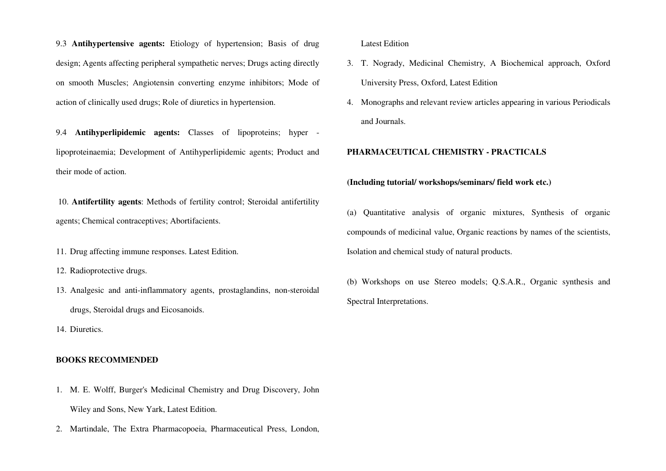9.3 **Antihypertensive agents:** Etiology of hypertension; Basis of drug design; Agents affecting peripheral sympathetic nerves; Drugs acting directly on smooth Muscles; Angiotensin converting enzyme inhibitors; Mode of action of clinically used drugs; Role of diuretics in hypertension.

9.4 **Antihyperlipidemic agents:** Classes of lipoproteins; hyper lipoproteinaemia; Development of Antihyperlipidemic agents; Product and their mode of action.

 10. **Antifertility agents**: Methods of fertility control; Steroidal antifertility agents; Chemical contraceptives; Abortifacients.

11. Drug affecting immune responses. Latest Edition.

12. Radioprotective drugs.

13. Analgesic and anti-inflammatory agents, prostaglandins, non-steroidal drugs, Steroidal drugs and Eicosanoids.

14. Diuretics.

#### **BOOKS RECOMMENDED**

- 1. M. E. Wolff, Burger's Medicinal Chemistry and Drug Discovery, John Wiley and Sons, New Yark, Latest Edition.
- 2. Martindale, The Extra Pharmacopoeia, Pharmaceutical Press, London,

Latest Edition

- 3. T. Nogrady, Medicinal Chemistry, A Biochemical approach, Oxford University Press, Oxford, Latest Edition
- 4. Monographs and relevant review articles appearing in various Periodicals and Journals.

#### **PHARMACEUTICAL CHEMISTRY - PRACTICALS**

#### **(Including tutorial/ workshops/seminars/ field work etc.)**

(a) Quantitative analysis of organic mixtures, Synthesis of organic compounds of medicinal value, Organic reactions by names of the scientists, Isolation and chemical study of natural products.

(b) Workshops on use Stereo models; Q.S.A.R., Organic synthesis and Spectral Interpretations.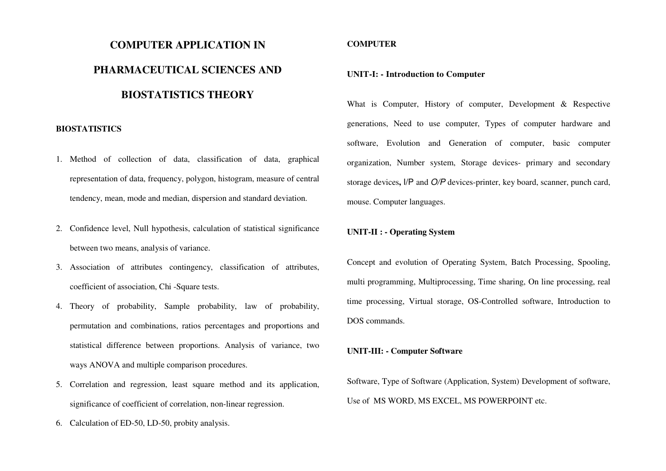# **COMPUTER APPLICATION IN PHARMACEUTICAL SCIENCES AND BIOSTATISTICS THEORY**

#### **BIOSTATISTICS**

- 1. Method of collection of data, classification of data, graphical representation of data, frequency, polygon, histogram, measure of central tendency, mean, mode and median, dispersion and standard deviation.
- 2. Confidence level, Null hypothesis, calculation of statistical significance between two means, analysis of variance.
- 3. Association of attributes contingency, classification of attributes, coefficient of association, Chi -Square tests.
- 4. Theory of probability, Sample probability, law of probability, permutation and combinations, ratios percentages and proportions and statistical difference between proportions. Analysis of variance, two ways ANOVA and multiple comparison procedures.
- 5. Correlation and regression, least square method and its application, significance of coefficient of correlation, non-linear regression.
- 6. Calculation of ED-50, LD-50, probity analysis.

#### **COMPUTER**

#### **UNIT-I: - Introduction to Computer**

What is Computer, History of computer, Development & Respective generations, Need to use computer, Types of computer hardware and software, Evolution and Generation of computer, basic computer organization, Number system, Storage devices- primary and secondary storage devices**,** I/P and O/P devices-printer, key board, scanner, punch card, mouse. Computer languages.

#### **UNIT-II : - Operating System**

Concept and evolution of Operating System, Batch Processing, Spooling, multi programming, Multiprocessing, Time sharing, On line processing, real time processing, Virtual storage, OS-Controlled software, Introduction to DOS commands.

#### **UNIT-III: - Computer Software**

Software, Type of Software (Application, System) Development of software, Use of MS WORD, MS EXCEL, MS POWERPOINT etc.